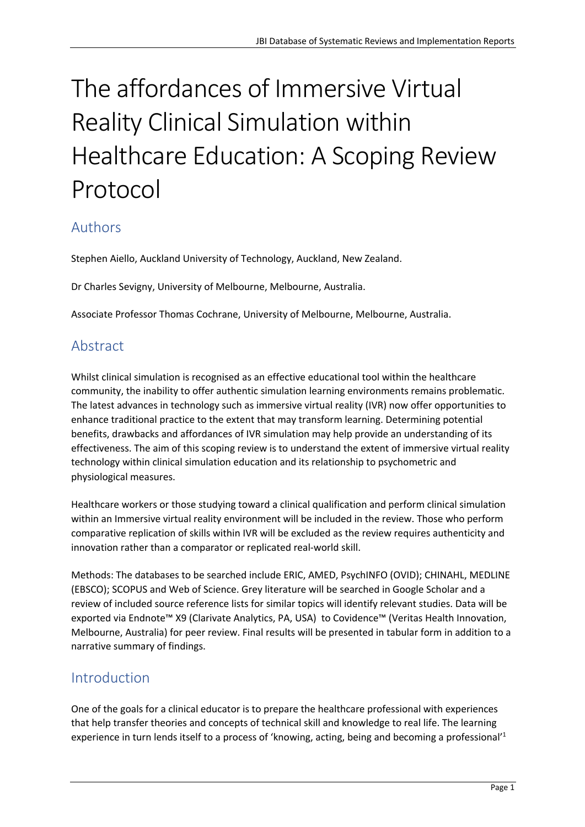# The affordances of Immersive Virtual Reality Clinical Simulation within Healthcare Education: A Scoping Review Protocol

# Authors

Stephen Aiello, Auckland University of Technology, Auckland, New Zealand.

Dr Charles Sevigny, University of Melbourne, Melbourne, Australia.

Associate Professor Thomas Cochrane, University of Melbourne, Melbourne, Australia.

# Abstract

Whilst clinical simulation is recognised as an effective educational tool within the healthcare community, the inability to offer authentic simulation learning environments remains problematic. The latest advances in technology such as immersive virtual reality (IVR) now offer opportunities to enhance traditional practice to the extent that may transform learning. Determining potential benefits, drawbacks and affordances of IVR simulation may help provide an understanding of its effectiveness. The aim of this scoping review is to understand the extent of immersive virtual reality technology within clinical simulation education and its relationship to psychometric and physiological measures.

Healthcare workers or those studying toward a clinical qualification and perform clinical simulation within an Immersive virtual reality environment will be included in the review. Those who perform comparative replication of skills within IVR will be excluded as the review requires authenticity and innovation rather than a comparator or replicated real-world skill.

Methods: The databases to be searched include ERIC, AMED, PsychINFO (OVID); CHINAHL, MEDLINE (EBSCO); SCOPUS and Web of Science. Grey literature will be searched in Google Scholar and a review of included source reference lists for similar topics will identify relevant studies. Data will be exported via Endnote™ X9 (Clarivate Analytics, PA, USA) to Covidence™ (Veritas Health Innovation, Melbourne, Australia) for peer review. Final results will be presented in tabular form in addition to a narrative summary of findings.

# Introduction

One of the goals for a clinical educator is to prepare the healthcare professional with experiences that help transfer theories and concepts of technical skill and knowledge to real life. The learning experience in turn lends itself to a process of 'knowing, acting, being and becoming a professional'<sup>1</sup>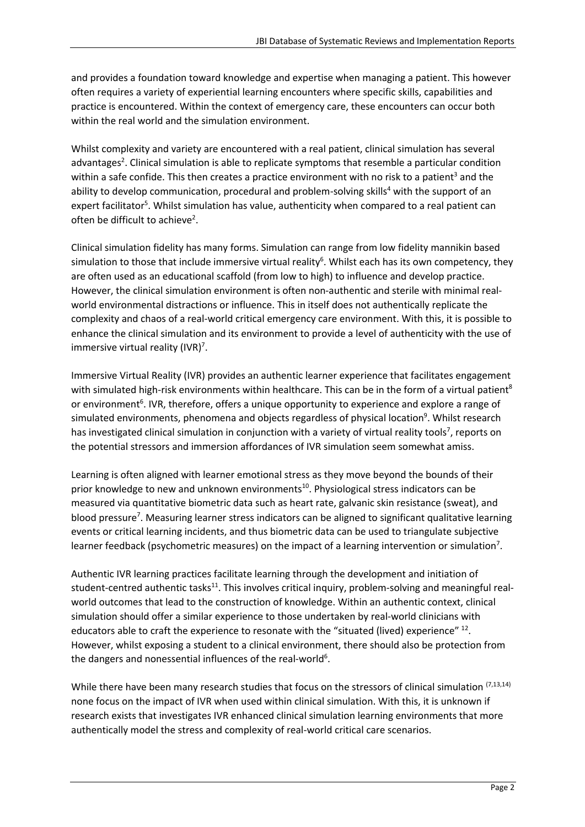and provides a foundation toward knowledge and expertise when managing a patient. This however often requires a variety of experiential learning encounters where specific skills, capabilities and practice is encountered. Within the context of emergency care, these encounters can occur both within the real world and the simulation environment.

Whilst complexity and variety are encountered with a real patient, clinical simulation has several advantages<sup>2</sup>. Clinical simulation is able to replicate symptoms that resemble a particular condition within a safe confide. This then creates a practice environment with no risk to a patient<sup>3</sup> and the ability to develop communication, procedural and problem-solving skills<sup>4</sup> with the support of an expert facilitator<sup>5</sup>. Whilst simulation has value, authenticity when compared to a real patient can often be difficult to achieve<sup>2</sup>.

Clinical simulation fidelity has many forms. Simulation can range from low fidelity mannikin based simulation to those that include immersive virtual reality<sup>6</sup>. Whilst each has its own competency, they are often used as an educational scaffold (from low to high) to influence and develop practice. However, the clinical simulation environment is often non-authentic and sterile with minimal realworld environmental distractions or influence. This in itself does not authentically replicate the complexity and chaos of a real-world critical emergency care environment. With this, it is possible to enhance the clinical simulation and its environment to provide a level of authenticity with the use of immersive virtual reality (IVR)<sup>7</sup>.

Immersive Virtual Reality (IVR) provides an authentic learner experience that facilitates engagement with simulated high-risk environments within healthcare. This can be in the form of a virtual patient<sup>8</sup> or environment<sup>6</sup>. IVR, therefore, offers a unique opportunity to experience and explore a range of simulated environments, phenomena and objects regardless of physical location<sup>9</sup>. Whilst research has investigated clinical simulation in conjunction with a variety of virtual reality tools<sup>7</sup>, reports on the potential stressors and immersion affordances of IVR simulation seem somewhat amiss.

Learning is often aligned with learner emotional stress as they move beyond the bounds of their prior knowledge to new and unknown environments<sup>10</sup>. Physiological stress indicators can be measured via quantitative biometric data such as heart rate, galvanic skin resistance (sweat), and blood pressure<sup>7</sup>. Measuring learner stress indicators can be aligned to significant qualitative learning events or critical learning incidents, and thus biometric data can be used to triangulate subjective learner feedback (psychometric measures) on the impact of a learning intervention or simulation<sup>7</sup>.

Authentic IVR learning practices facilitate learning through the development and initiation of student-centred authentic tasks<sup>11</sup>. This involves critical inquiry, problem-solving and meaningful realworld outcomes that lead to the construction of knowledge. Within an authentic context, clinical simulation should offer a similar experience to those undertaken by real-world clinicians with educators able to craft the experience to resonate with the "situated (lived) experience" <sup>12</sup>. However, whilst exposing a student to a clinical environment, there should also be protection from the dangers and nonessential influences of the real-world<sup>6</sup>.

While there have been many research studies that focus on the stressors of clinical simulation (7,13,14) none focus on the impact of IVR when used within clinical simulation. With this, it is unknown if research exists that investigates IVR enhanced clinical simulation learning environments that more authentically model the stress and complexity of real-world critical care scenarios.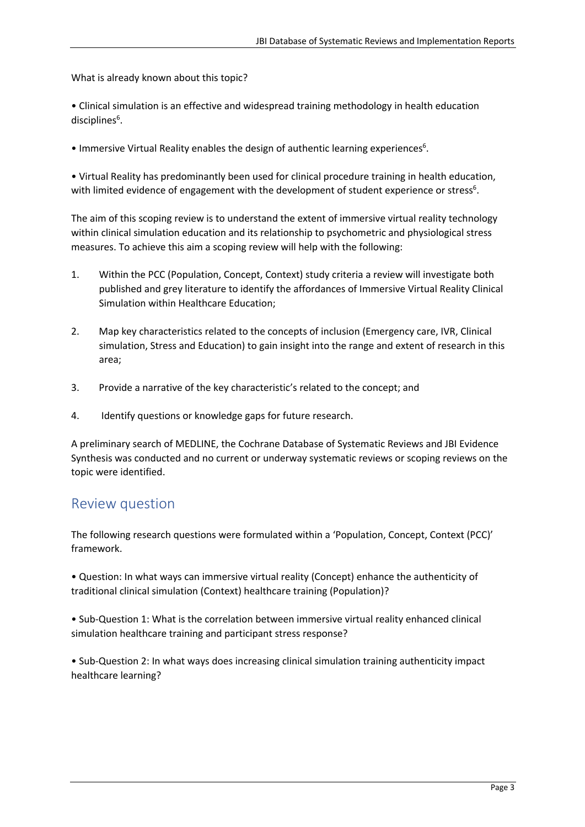What is already known about this topic?

• Clinical simulation is an effective and widespread training methodology in health education disciplines<sup>6</sup>.

• Immersive Virtual Reality enables the design of authentic learning experiences<sup>6</sup>.

• Virtual Reality has predominantly been used for clinical procedure training in health education, with limited evidence of engagement with the development of student experience or stress<sup>6</sup>.

The aim of this scoping review is to understand the extent of immersive virtual reality technology within clinical simulation education and its relationship to psychometric and physiological stress measures. To achieve this aim a scoping review will help with the following:

- 1. Within the PCC (Population, Concept, Context) study criteria a review will investigate both published and grey literature to identify the affordances of Immersive Virtual Reality Clinical Simulation within Healthcare Education;
- 2. Map key characteristics related to the concepts of inclusion (Emergency care, IVR, Clinical simulation, Stress and Education) to gain insight into the range and extent of research in this area;
- 3. Provide a narrative of the key characteristic's related to the concept; and
- 4. Identify questions or knowledge gaps for future research.

A preliminary search of MEDLINE, the Cochrane Database of Systematic Reviews and JBI Evidence Synthesis was conducted and no current or underway systematic reviews or scoping reviews on the topic were identified.

# Review question

The following research questions were formulated within a 'Population, Concept, Context (PCC)' framework.

• Question: In what ways can immersive virtual reality (Concept) enhance the authenticity of traditional clinical simulation (Context) healthcare training (Population)?

• Sub-Question 1: What is the correlation between immersive virtual reality enhanced clinical simulation healthcare training and participant stress response?

• Sub-Question 2: In what ways does increasing clinical simulation training authenticity impact healthcare learning?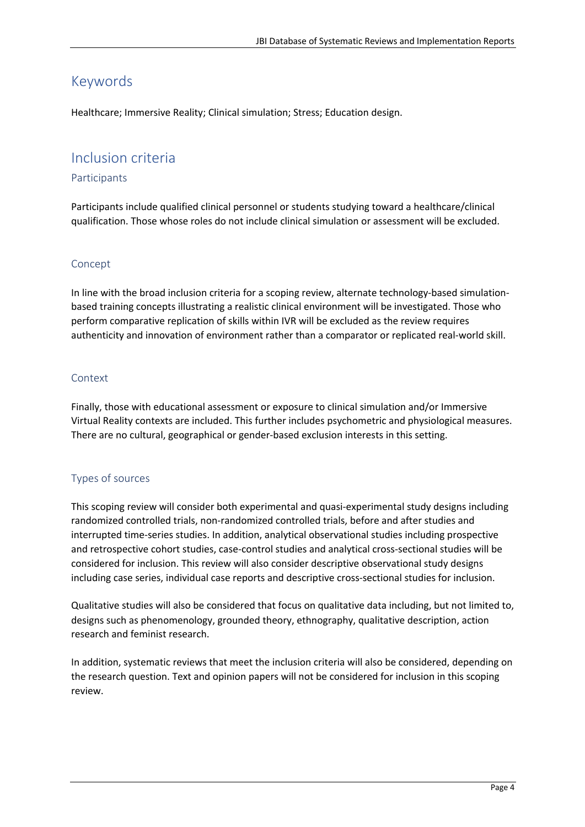# Keywords

Healthcare; Immersive Reality; Clinical simulation; Stress; Education design.

# Inclusion criteria

#### Participants

Participants include qualified clinical personnel or students studying toward a healthcare/clinical qualification. Those whose roles do not include clinical simulation or assessment will be excluded.

#### Concept

In line with the broad inclusion criteria for a scoping review, alternate technology-based simulationbased training concepts illustrating a realistic clinical environment will be investigated. Those who perform comparative replication of skills within IVR will be excluded as the review requires authenticity and innovation of environment rather than a comparator or replicated real-world skill.

#### Context

Finally, those with educational assessment or exposure to clinical simulation and/or Immersive Virtual Reality contexts are included. This further includes psychometric and physiological measures. There are no cultural, geographical or gender-based exclusion interests in this setting.

#### Types of sources

This scoping review will consider both experimental and quasi-experimental study designs including randomized controlled trials, non-randomized controlled trials, before and after studies and interrupted time-series studies. In addition, analytical observational studies including prospective and retrospective cohort studies, case-control studies and analytical cross-sectional studies will be considered for inclusion. This review will also consider descriptive observational study designs including case series, individual case reports and descriptive cross-sectional studies for inclusion.

Qualitative studies will also be considered that focus on qualitative data including, but not limited to, designs such as phenomenology, grounded theory, ethnography, qualitative description, action research and feminist research.

In addition, systematic reviews that meet the inclusion criteria will also be considered, depending on the research question. Text and opinion papers will not be considered for inclusion in this scoping review.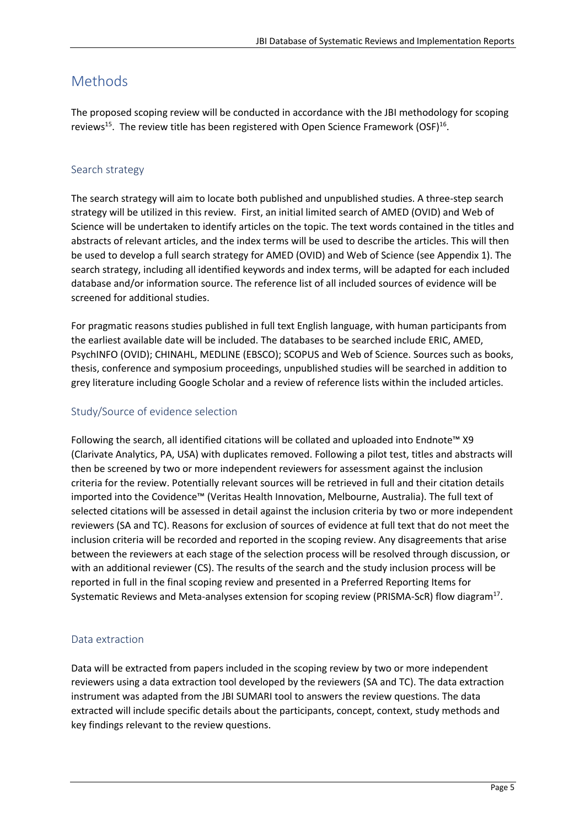# Methods

The proposed scoping review will be conducted in accordance with the JBI methodology for scoping reviews<sup>15</sup>. The review title has been registered with Open Science Framework (OSF)<sup>16</sup>.

#### Search strategy

The search strategy will aim to locate both published and unpublished studies. A three-step search strategy will be utilized in this review. First, an initial limited search of AMED (OVID) and Web of Science will be undertaken to identify articles on the topic. The text words contained in the titles and abstracts of relevant articles, and the index terms will be used to describe the articles. This will then be used to develop a full search strategy for AMED (OVID) and Web of Science (see Appendix 1). The search strategy, including all identified keywords and index terms, will be adapted for each included database and/or information source. The reference list of all included sources of evidence will be screened for additional studies.

For pragmatic reasons studies published in full text English language, with human participants from the earliest available date will be included. The databases to be searched include ERIC, AMED, PsychINFO (OVID); CHINAHL, MEDLINE (EBSCO); SCOPUS and Web of Science. Sources such as books, thesis, conference and symposium proceedings, unpublished studies will be searched in addition to grey literature including Google Scholar and a review of reference lists within the included articles.

#### Study/Source of evidence selection

Following the search, all identified citations will be collated and uploaded into Endnote™ X9 (Clarivate Analytics, PA, USA) with duplicates removed. Following a pilot test, titles and abstracts will then be screened by two or more independent reviewers for assessment against the inclusion criteria for the review. Potentially relevant sources will be retrieved in full and their citation details imported into the Covidence™ (Veritas Health Innovation, Melbourne, Australia). The full text of selected citations will be assessed in detail against the inclusion criteria by two or more independent reviewers (SA and TC). Reasons for exclusion of sources of evidence at full text that do not meet the inclusion criteria will be recorded and reported in the scoping review. Any disagreements that arise between the reviewers at each stage of the selection process will be resolved through discussion, or with an additional reviewer (CS). The results of the search and the study inclusion process will be reported in full in the final scoping review and presented in a Preferred Reporting Items for Systematic Reviews and Meta-analyses extension for scoping review (PRISMA-ScR) flow diagram<sup>17</sup>.

#### Data extraction

Data will be extracted from papers included in the scoping review by two or more independent reviewers using a data extraction tool developed by the reviewers (SA and TC). The data extraction instrument was adapted from the JBI SUMARI tool to answers the review questions. The data extracted will include specific details about the participants, concept, context, study methods and key findings relevant to the review questions.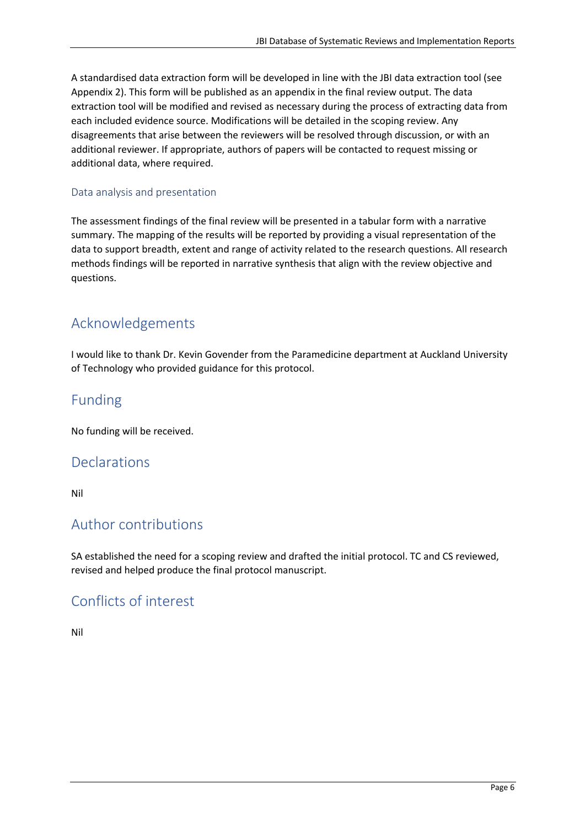A standardised data extraction form will be developed in line with the JBI data extraction tool (see Appendix 2). This form will be published as an appendix in the final review output. The data extraction tool will be modified and revised as necessary during the process of extracting data from each included evidence source. Modifications will be detailed in the scoping review. Any disagreements that arise between the reviewers will be resolved through discussion, or with an additional reviewer. If appropriate, authors of papers will be contacted to request missing or additional data, where required.

#### Data analysis and presentation

The assessment findings of the final review will be presented in a tabular form with a narrative summary. The mapping of the results will be reported by providing a visual representation of the data to support breadth, extent and range of activity related to the research questions. All research methods findings will be reported in narrative synthesis that align with the review objective and questions.

# Acknowledgements

I would like to thank Dr. Kevin Govender from the Paramedicine department at Auckland University of Technology who provided guidance for this protocol.

# Funding

No funding will be received.

## **Declarations**

Nil

## Author contributions

SA established the need for a scoping review and drafted the initial protocol. TC and CS reviewed, revised and helped produce the final protocol manuscript.

# Conflicts of interest

Nil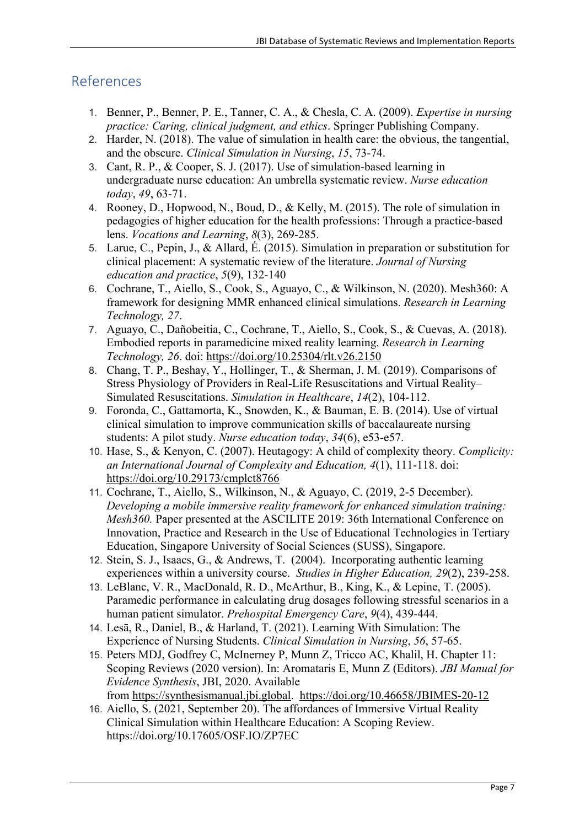# References

- 1. Benner, P., Benner, P. E., Tanner, C. A., & Chesla, C. A. (2009). *Expertise in nursing practice: Caring, clinical judgment, and ethics*. Springer Publishing Company.
- 2. Harder, N. (2018). The value of simulation in health care: the obvious, the tangential, and the obscure. *Clinical Simulation in Nursing*, *15*, 73-74.
- 3. Cant, R. P., & Cooper, S. J. (2017). Use of simulation-based learning in undergraduate nurse education: An umbrella systematic review. *Nurse education today*, *49*, 63-71.
- 4. Rooney, D., Hopwood, N., Boud, D., & Kelly, M. (2015). The role of simulation in pedagogies of higher education for the health professions: Through a practice-based lens. *Vocations and Learning*, *8*(3), 269-285.
- 5. Larue, C., Pepin, J., & Allard, É. (2015). Simulation in preparation or substitution for clinical placement: A systematic review of the literature. *Journal of Nursing education and practice*, *5*(9), 132-140
- 6. Cochrane, T., Aiello, S., Cook, S., Aguayo, C., & Wilkinson, N. (2020). Mesh360: A framework for designing MMR enhanced clinical simulations. *Research in Learning Technology, 27*.
- 7. Aguayo, C., Dañobeitia, C., Cochrane, T., Aiello, S., Cook, S., & Cuevas, A. (2018). Embodied reports in paramedicine mixed reality learning. *Research in Learning Technology, 26*. doi: https://doi.org/10.25304/rlt.v26.2150
- 8. Chang, T. P., Beshay, Y., Hollinger, T., & Sherman, J. M. (2019). Comparisons of Stress Physiology of Providers in Real-Life Resuscitations and Virtual Reality– Simulated Resuscitations. *Simulation in Healthcare*, *14*(2), 104-112.
- 9. Foronda, C., Gattamorta, K., Snowden, K., & Bauman, E. B. (2014). Use of virtual clinical simulation to improve communication skills of baccalaureate nursing students: A pilot study. *Nurse education today*, *34*(6), e53-e57.
- 10. Hase, S., & Kenyon, C. (2007). Heutagogy: A child of complexity theory. *Complicity: an International Journal of Complexity and Education, 4*(1), 111-118. doi: https://doi.org/10.29173/cmplct8766
- 11. Cochrane, T., Aiello, S., Wilkinson, N., & Aguayo, C. (2019, 2-5 December). *Developing a mobile immersive reality framework for enhanced simulation training: Mesh360.* Paper presented at the ASCILITE 2019: 36th International Conference on Innovation, Practice and Research in the Use of Educational Technologies in Tertiary Education, Singapore University of Social Sciences (SUSS), Singapore.
- 12. Stein, S. J., Isaacs, G., & Andrews, T. (2004). Incorporating authentic learning experiences within a university course. *Studies in Higher Education, 29*(2), 239-258.
- 13. LeBlanc, V. R., MacDonald, R. D., McArthur, B., King, K., & Lepine, T. (2005). Paramedic performance in calculating drug dosages following stressful scenarios in a human patient simulator. *Prehospital Emergency Care*, *9*(4), 439-444.
- 14. Lesā, R., Daniel, B., & Harland, T. (2021). Learning With Simulation: The Experience of Nursing Students. *Clinical Simulation in Nursing*, *56*, 57-65.
- 15. Peters MDJ, Godfrey C, McInerney P, Munn Z, Tricco AC, Khalil, H. Chapter 11: Scoping Reviews (2020 version). In: Aromataris E, Munn Z (Editors). *JBI Manual for Evidence Synthesis*, JBI, 2020. Available from https://synthesismanual.jbi.global. https://doi.org/10.46658/JBIMES-20-12
- 16. Aiello, S. (2021, September 20). The affordances of Immersive Virtual Reality Clinical Simulation within Healthcare Education: A Scoping Review. https://doi.org/10.17605/OSF.IO/ZP7EC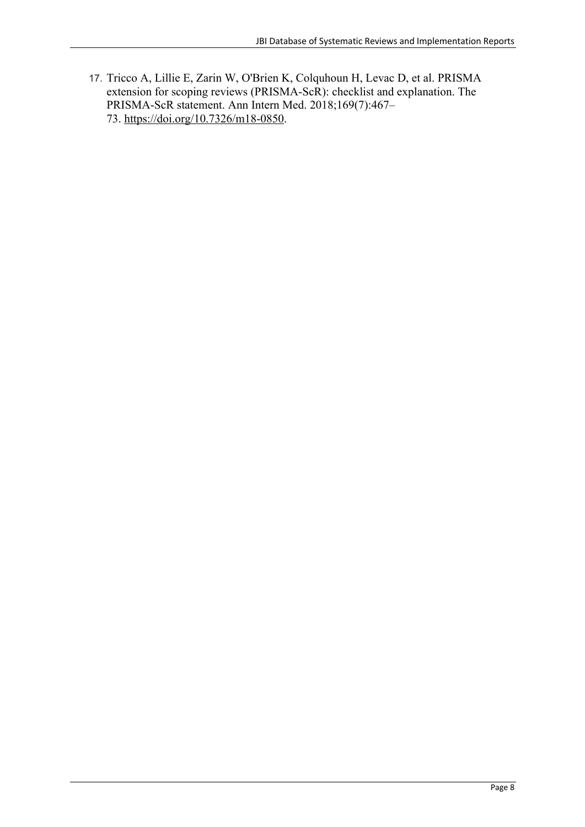17. Tricco A, Lillie E, Zarin W, O'Brien K, Colquhoun H, Levac D, et al. PRISMA extension for scoping reviews (PRISMA-ScR): checklist and explanation. The PRISMA-ScR statement. Ann Intern Med. 2018;169(7):467– 73. https://doi.org/10.7326/m18-0850.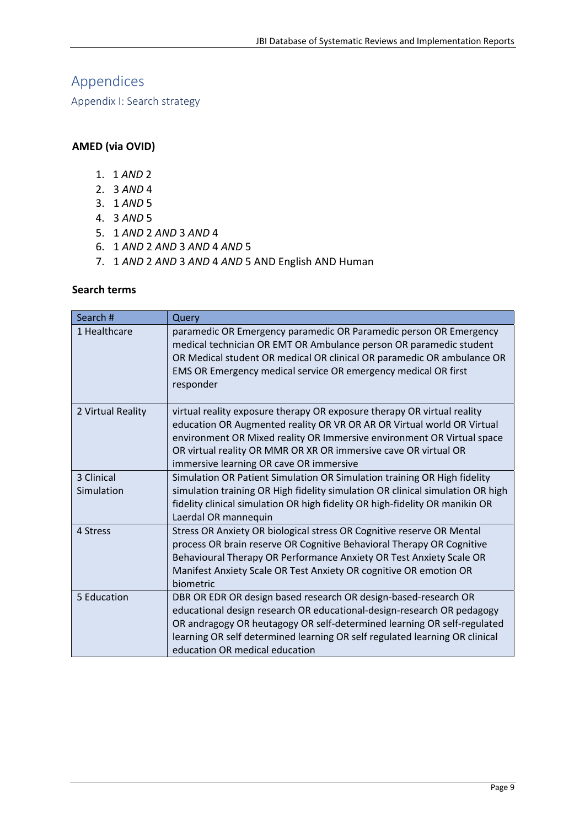# Appendices

Appendix I: Search strategy

## **AMED (via OVID)**

- 1. 1 *AND* 2
- 2. 3 *AND* 4
- 3. 1 *AND* 5
- 4. 3 *AND* 5
- 5. 1 *AND* 2 *AND* 3 *AND* 4
- 6. 1 *AND* 2 *AND* 3 *AND* 4 *AND* 5
- 7. 1 *AND* 2 *AND* 3 *AND* 4 *AND* 5 AND English AND Human

#### **Search terms**

| Search #          | Query                                                                                                                                                                                                                                                                                                                                     |
|-------------------|-------------------------------------------------------------------------------------------------------------------------------------------------------------------------------------------------------------------------------------------------------------------------------------------------------------------------------------------|
| 1 Healthcare      | paramedic OR Emergency paramedic OR Paramedic person OR Emergency<br>medical technician OR EMT OR Ambulance person OR paramedic student<br>OR Medical student OR medical OR clinical OR paramedic OR ambulance OR<br>EMS OR Emergency medical service OR emergency medical OR first<br>responder                                          |
| 2 Virtual Reality | virtual reality exposure therapy OR exposure therapy OR virtual reality<br>education OR Augmented reality OR VR OR AR OR Virtual world OR Virtual<br>environment OR Mixed reality OR Immersive environment OR Virtual space<br>OR virtual reality OR MMR OR XR OR immersive cave OR virtual OR<br>immersive learning OR cave OR immersive |
| 3 Clinical        | Simulation OR Patient Simulation OR Simulation training OR High fidelity                                                                                                                                                                                                                                                                  |
| Simulation        | simulation training OR High fidelity simulation OR clinical simulation OR high<br>fidelity clinical simulation OR high fidelity OR high-fidelity OR manikin OR<br>Laerdal OR mannequin                                                                                                                                                    |
| 4 Stress          | Stress OR Anxiety OR biological stress OR Cognitive reserve OR Mental                                                                                                                                                                                                                                                                     |
|                   | process OR brain reserve OR Cognitive Behavioral Therapy OR Cognitive                                                                                                                                                                                                                                                                     |
|                   | Behavioural Therapy OR Performance Anxiety OR Test Anxiety Scale OR                                                                                                                                                                                                                                                                       |
|                   | Manifest Anxiety Scale OR Test Anxiety OR cognitive OR emotion OR<br>biometric                                                                                                                                                                                                                                                            |
| 5 Education       | DBR OR EDR OR design based research OR design-based-research OR<br>educational design research OR educational-design-research OR pedagogy<br>OR andragogy OR heutagogy OR self-determined learning OR self-regulated<br>learning OR self determined learning OR self regulated learning OR clinical<br>education OR medical education     |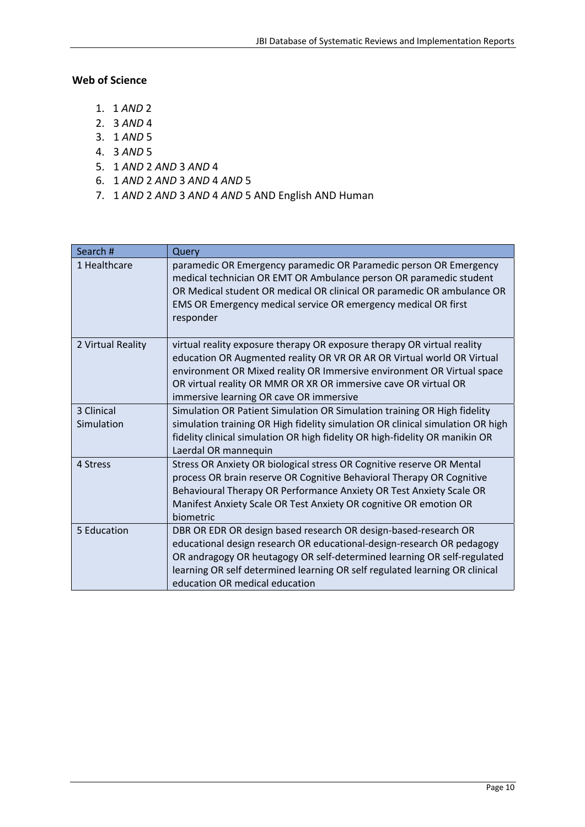#### **Web of Science**

- 1. 1 *AND* 2
- 2. 3 *AND* 4
- 3. 1 *AND* 5
- 4. 3 *AND* 5
- 5. 1 *AND* 2 *AND* 3 *AND* 4
- 6. 1 *AND* 2 *AND* 3 *AND* 4 *AND* 5
- 7. 1 *AND* 2 *AND* 3 *AND* 4 *AND* 5 AND English AND Human

| Search #          | Query                                                                                                                                                                                                                                                                                                                                     |
|-------------------|-------------------------------------------------------------------------------------------------------------------------------------------------------------------------------------------------------------------------------------------------------------------------------------------------------------------------------------------|
| 1 Healthcare      | paramedic OR Emergency paramedic OR Paramedic person OR Emergency<br>medical technician OR EMT OR Ambulance person OR paramedic student<br>OR Medical student OR medical OR clinical OR paramedic OR ambulance OR<br>EMS OR Emergency medical service OR emergency medical OR first<br>responder                                          |
| 2 Virtual Reality | virtual reality exposure therapy OR exposure therapy OR virtual reality<br>education OR Augmented reality OR VR OR AR OR Virtual world OR Virtual<br>environment OR Mixed reality OR Immersive environment OR Virtual space<br>OR virtual reality OR MMR OR XR OR immersive cave OR virtual OR<br>immersive learning OR cave OR immersive |
| 3 Clinical        | Simulation OR Patient Simulation OR Simulation training OR High fidelity                                                                                                                                                                                                                                                                  |
| Simulation        | simulation training OR High fidelity simulation OR clinical simulation OR high                                                                                                                                                                                                                                                            |
|                   | fidelity clinical simulation OR high fidelity OR high-fidelity OR manikin OR<br>Laerdal OR mannequin                                                                                                                                                                                                                                      |
| 4 Stress          | Stress OR Anxiety OR biological stress OR Cognitive reserve OR Mental                                                                                                                                                                                                                                                                     |
|                   | process OR brain reserve OR Cognitive Behavioral Therapy OR Cognitive                                                                                                                                                                                                                                                                     |
|                   | Behavioural Therapy OR Performance Anxiety OR Test Anxiety Scale OR                                                                                                                                                                                                                                                                       |
|                   | Manifest Anxiety Scale OR Test Anxiety OR cognitive OR emotion OR<br>biometric                                                                                                                                                                                                                                                            |
| 5 Education       | DBR OR EDR OR design based research OR design-based-research OR                                                                                                                                                                                                                                                                           |
|                   | educational design research OR educational-design-research OR pedagogy                                                                                                                                                                                                                                                                    |
|                   | OR andragogy OR heutagogy OR self-determined learning OR self-regulated                                                                                                                                                                                                                                                                   |
|                   | learning OR self determined learning OR self regulated learning OR clinical                                                                                                                                                                                                                                                               |
|                   | education OR medical education                                                                                                                                                                                                                                                                                                            |